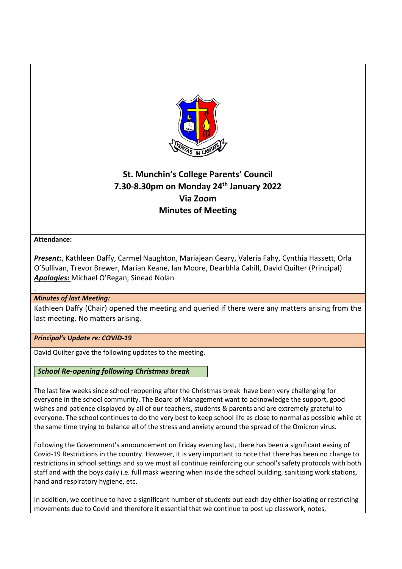

# **St. Munchin's College Parents' Council 7.30-8.30pm on Monday 24th January 2022 Via Zoom Minutes of Meeting**

# **Attendance:**

.

*Present:*, Kathleen Daffy, Carmel Naughton, Mariajean Geary, Valeria Fahy, Cynthia Hassett, Orla O'Sullivan, Trevor Brewer, Marian Keane, Ian Moore, Dearbhla Cahill, David Quilter (Principal) *Apologies:* Michael O'Regan, Sinead Nolan

# *Minutes of last Meeting:*

Kathleen Daffy (Chair) opened the meeting and queried if there were any matters arising from the last meeting. No matters arising.

## *Principal's Update re: COVID-19*

David Quilter gave the following updates to the meeting.

*School Re-opening following Christmas break*

The last few weeks since school reopening after the Christmas break have been very challenging for everyone in the school community. The Board of Management want to acknowledge the support, good wishes and patience displayed by all of our teachers, students & parents and are extremely grateful to everyone. The school continues to do the very best to keep school life as close to normal as possible while at the same time trying to balance all of the stress and anxiety around the spread of the Omicron virus.

Following the Government's announcement on Friday evening last, there has been a significant easing of Covid-19 Restrictions in the country. However, it is very important to note that there has been no change to restrictions in school settings and so we must all continue reinforcing our school's safety protocols with both staff and with the boys daily i.e. full mask wearing when inside the school building, sanitizing work stations, hand and respiratory hygiene, etc.

In addition, we continue to have a significant number of students out each day either isolating or restricting movements due to Covid and therefore it essential that we continue to post up classwork, notes,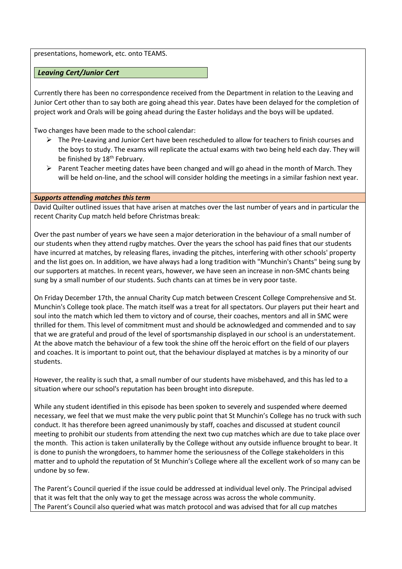presentations, homework, etc. onto TEAMS.

*Leaving Cert/Junior Cert*

Currently there has been no correspondence received from the Department in relation to the Leaving and Junior Cert other than to say both are going ahead this year. Dates have been delayed for the completion of project work and Orals will be going ahead during the Easter holidays and the boys will be updated.

Two changes have been made to the school calendar:

- $\triangleright$  The Pre-Leaving and Junior Cert have been rescheduled to allow for teachers to finish courses and the boys to study. The exams will replicate the actual exams with two being held each day. They will be finished by 18<sup>th</sup> February.
- $\triangleright$  Parent Teacher meeting dates have been changed and will go ahead in the month of March. They will be held on-line, and the school will consider holding the meetings in a similar fashion next year.

#### *Supports attending matches this term*

David Quilter outlined issues that have arisen at matches over the last number of years and in particular the recent Charity Cup match held before Christmas break:

Over the past number of years we have seen a major deterioration in the behaviour of a small number of our students when they attend rugby matches. Over the years the school has paid fines that our students have incurred at matches, by releasing flares, invading the pitches, interfering with other schools' property and the list goes on. In addition, we have always had a long tradition with "Munchin's Chants" being sung by our supporters at matches. In recent years, however, we have seen an increase in non-SMC chants being sung by a small number of our students. Such chants can at times be in very poor taste.

On Friday December 17th, the annual Charity Cup match between Crescent College Comprehensive and St. Munchin's College took place. The match itself was a treat for all spectators. Our players put their heart and soul into the match which led them to victory and of course, their coaches, mentors and all in SMC were thrilled for them. This level of commitment must and should be acknowledged and commended and to say that we are grateful and proud of the level of sportsmanship displayed in our school is an understatement. At the above match the behaviour of a few took the shine off the heroic effort on the field of our players and coaches. It is important to point out, that the behaviour displayed at matches is by a minority of our students.

However, the reality is such that, a small number of our students have misbehaved, and this has led to a situation where our school's reputation has been brought into disrepute.

While any student identified in this episode has been spoken to severely and suspended where deemed necessary, we feel that we must make the very public point that St Munchin's College has no truck with such conduct. It has therefore been agreed unanimously by staff, coaches and discussed at student council meeting to prohibit our students from attending the next two cup matches which are due to take place over the month. This action is taken unilaterally by the College without any outside influence brought to bear. It is done to punish the wrongdoers, to hammer home the seriousness of the College stakeholders in this matter and to uphold the reputation of St Munchin's College where all the excellent work of so many can be undone by so few.

The Parent's Council queried if the issue could be addressed at individual level only. The Principal advised that it was felt that the only way to get the message across was across the whole community. The Parent's Council also queried what was match protocol and was advised that for all cup matches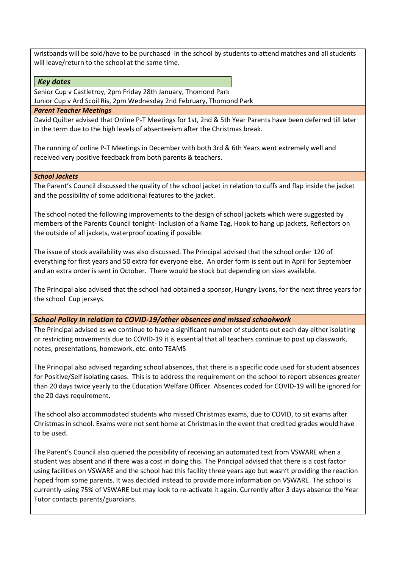wristbands will be sold/have to be purchased in the school by students to attend matches and all students will leave/return to the school at the same time.

## *Key dates*

Senior Cup v Castletroy, 2pm Friday 28th January, Thomond Park

Junior Cup v Ard Scoil Ris, 2pm Wednesday 2nd February, Thomond Park

#### *Parent Teacher Meetings*

David Quilter advised that Online P-T Meetings for 1st, 2nd & 5th Year Parents have been deferred till later in the term due to the high levels of absenteeism after the Christmas break.

The running of online P-T Meetings in December with both 3rd & 6th Years went extremely well and received very positive feedback from both parents & teachers.

#### *School Jackets*

The Parent's Council discussed the quality of the school jacket in relation to cuffs and flap inside the jacket and the possibility of some additional features to the jacket.

The school noted the following improvements to the design of school jackets which were suggested by members of the Parents Council tonight- Inclusion of a Name Tag, Hook to hang up jackets, Reflectors on the outside of all jackets, waterproof coating if possible.

The issue of stock availability was also discussed. The Principal advised that the school order 120 of everything for first years and 50 extra for everyone else. An order form is sent out in April for September and an extra order is sent in October. There would be stock but depending on sizes available.

The Principal also advised that the school had obtained a sponsor, Hungry Lyons, for the next three years for the school Cup jerseys.

## *School Policy in relation to COVID-19/other absences and missed schoolwork*

The Principal advised as we continue to have a significant number of students out each day either isolating or restricting movements due to COVID-19 it is essential that all teachers continue to post up classwork, notes, presentations, homework, etc. onto TEAMS

The Principal also advised regarding school absences, that there is a specific code used for student absences for Positive/Self isolating cases. This is to address the requirement on the school to report absences greater than 20 days twice yearly to the Education Welfare Officer. Absences coded for COVID-19 will be ignored for the 20 days requirement.

The school also accommodated students who missed Christmas exams, due to COVID, to sit exams after Christmas in school. Exams were not sent home at Christmas in the event that credited grades would have to be used.

The Parent's Council also queried the possibility of receiving an automated text from VSWARE when a student was absent and if there was a cost in doing this. The Principal advised that there is a cost factor using facilities on VSWARE and the school had this facility three years ago but wasn't providing the reaction hoped from some parents. It was decided instead to provide more information on VSWARE. The school is currently using 75% of VSWARE but may look to re-activate it again. Currently after 3 days absence the Year Tutor contacts parents/guardians.